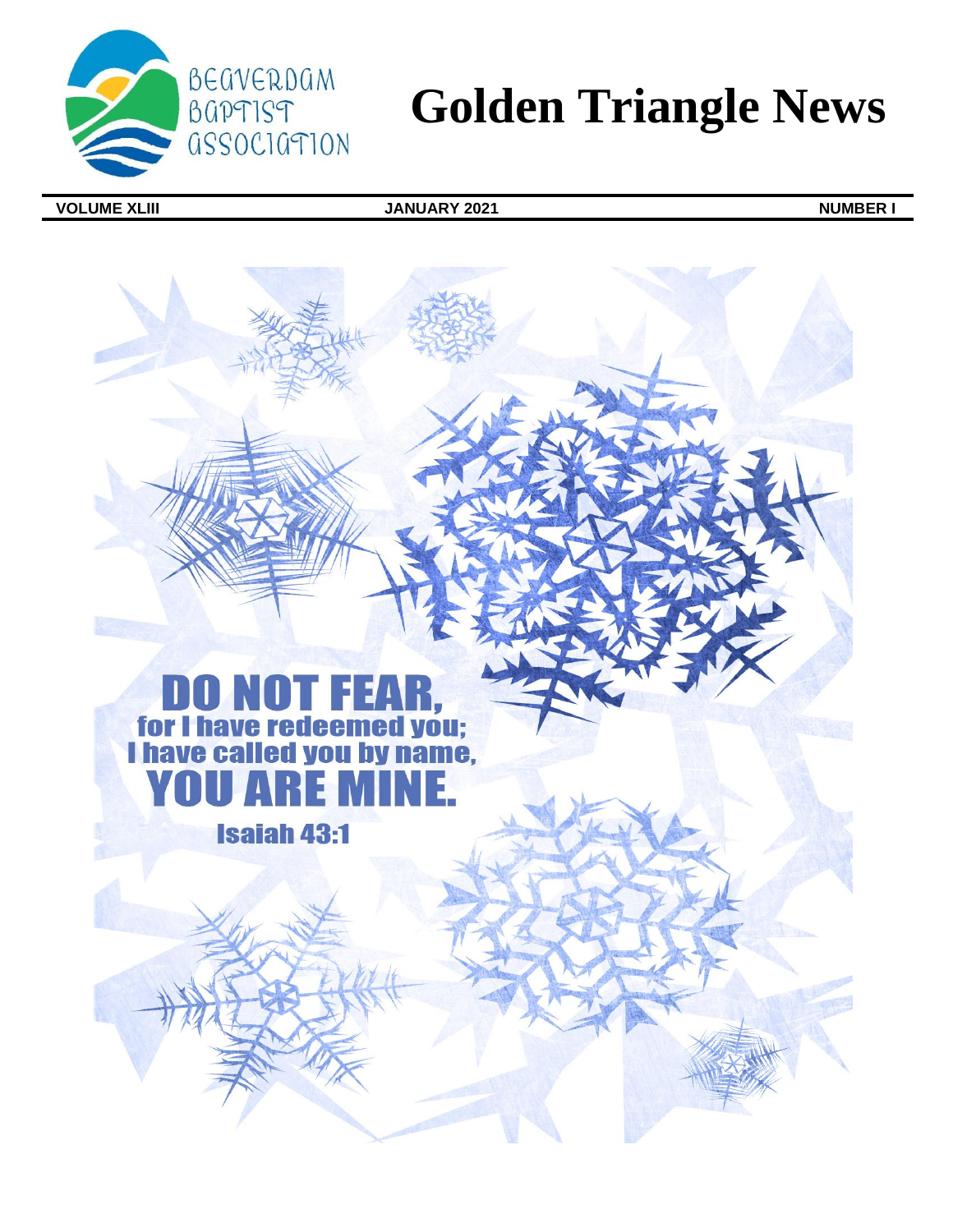

# **Golden Triangle News**

**VOLUME XLIII JANUARY 2021 NUMBER I**

# **DO NOT FEAR,<br>for I have redeemed you;<br>I have called you by name,**  $\mathbf{I}$  $\overline{\mathbf{A}}$

**Isaiah 43:1**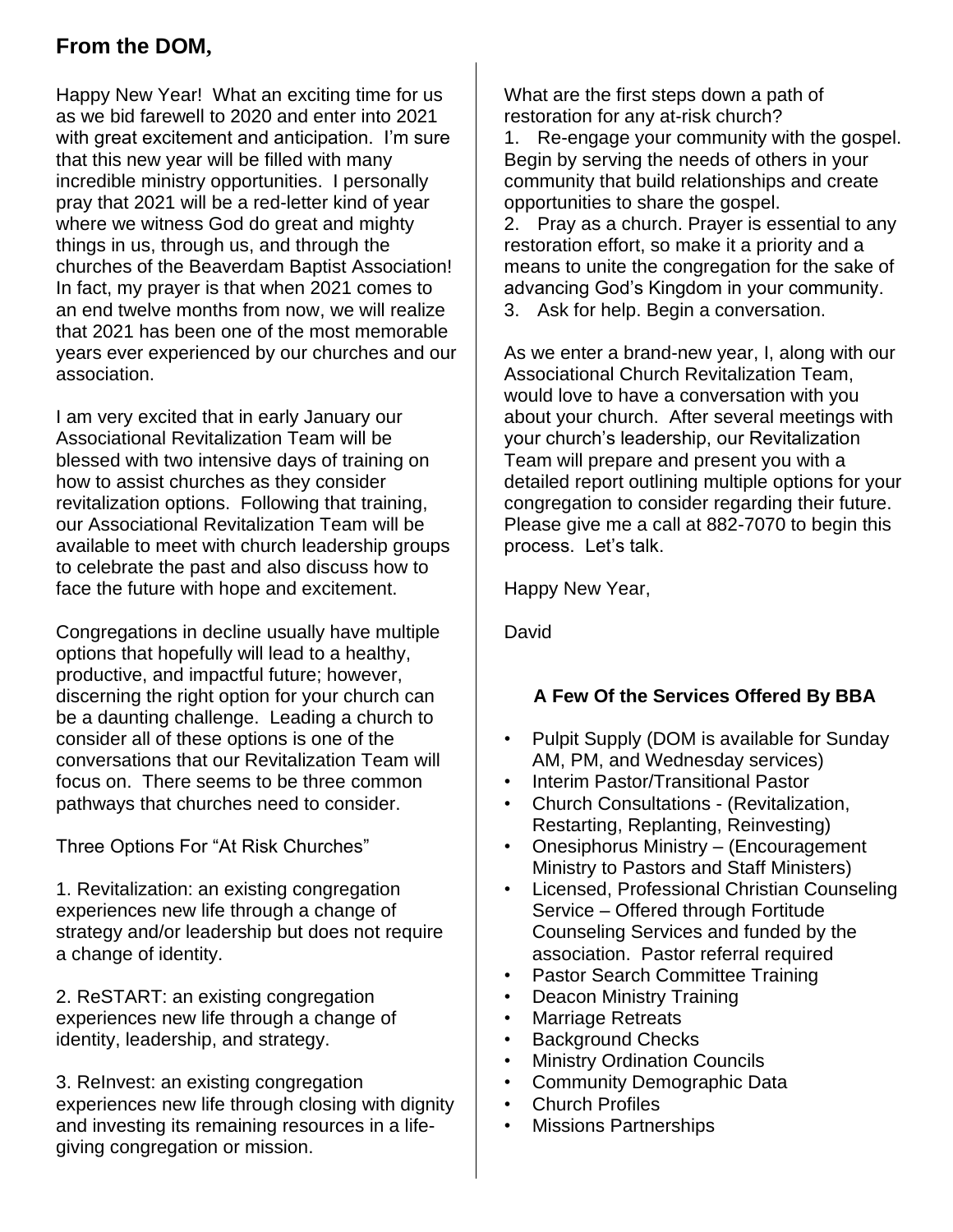## **From the DOM,**

Happy New Year! What an exciting time for us as we bid farewell to 2020 and enter into 2021 with great excitement and anticipation. I'm sure that this new year will be filled with many incredible ministry opportunities. I personally pray that 2021 will be a red-letter kind of year where we witness God do great and mighty things in us, through us, and through the churches of the Beaverdam Baptist Association! In fact, my prayer is that when 2021 comes to an end twelve months from now, we will realize that 2021 has been one of the most memorable years ever experienced by our churches and our association.

I am very excited that in early January our Associational Revitalization Team will be blessed with two intensive days of training on how to assist churches as they consider revitalization options. Following that training, our Associational Revitalization Team will be available to meet with church leadership groups to celebrate the past and also discuss how to face the future with hope and excitement.

Congregations in decline usually have multiple options that hopefully will lead to a healthy, productive, and impactful future; however, discerning the right option for your church can be a daunting challenge. Leading a church to consider all of these options is one of the conversations that our Revitalization Team will focus on. There seems to be three common pathways that churches need to consider.

Three Options For "At Risk Churches"

1. Revitalization: an existing congregation experiences new life through a change of strategy and/or leadership but does not require a change of identity.

2. ReSTART: an existing congregation experiences new life through a change of identity, leadership, and strategy.

3. ReInvest: an existing congregation experiences new life through closing with dignity and investing its remaining resources in a lifegiving congregation or mission.

What are the first steps down a path of restoration for any at-risk church?

1. Re-engage your community with the gospel. Begin by serving the needs of others in your community that build relationships and create opportunities to share the gospel.

2. Pray as a church. Prayer is essential to any restoration effort, so make it a priority and a means to unite the congregation for the sake of advancing God's Kingdom in your community. 3. Ask for help. Begin a conversation.

As we enter a brand-new year, I, along with our Associational Church Revitalization Team, would love to have a conversation with you about your church. After several meetings with your church's leadership, our Revitalization Team will prepare and present you with a detailed report outlining multiple options for your congregation to consider regarding their future. Please give me a call at 882-7070 to begin this process. Let's talk.

Happy New Year,

David

### **A Few Of the Services Offered By BBA**

- Pulpit Supply (DOM is available for Sunday AM, PM, and Wednesday services)
- Interim Pastor/Transitional Pastor
- Church Consultations (Revitalization, Restarting, Replanting, Reinvesting)
- Onesiphorus Ministry (Encouragement Ministry to Pastors and Staff Ministers)
- Licensed, Professional Christian Counseling Service – Offered through Fortitude Counseling Services and funded by the association. Pastor referral required
- Pastor Search Committee Training
- Deacon Ministry Training
- **Marriage Retreats**
- Background Checks
- **Ministry Ordination Councils**
- Community Demographic Data
- Church Profiles
- Missions Partnerships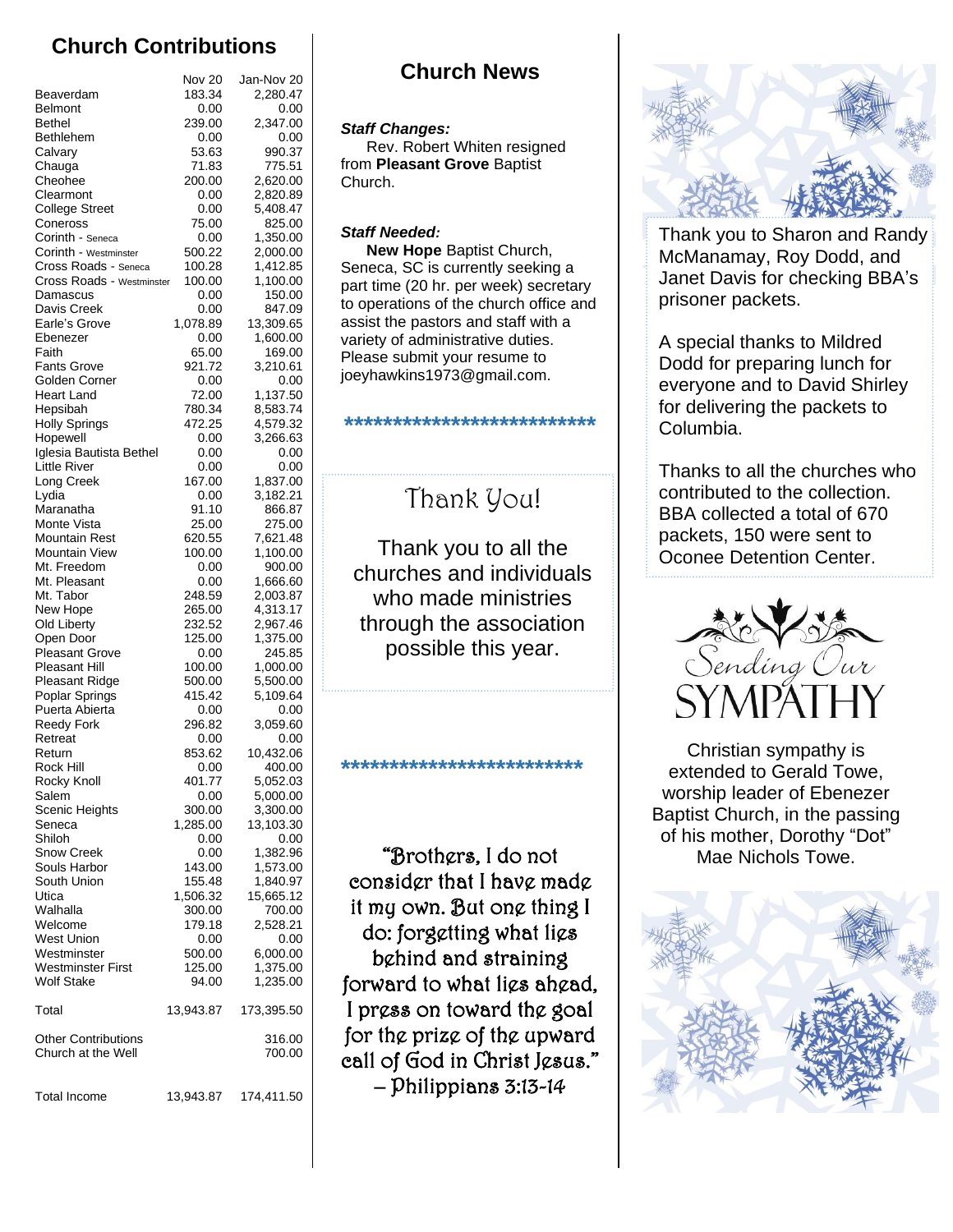## **Church Contributions**

|                                         | Nov 20           | Jan-Nov 20            |
|-----------------------------------------|------------------|-----------------------|
| Beaverdam                               | 183.34           | 2,280.47              |
| <b>Belmont</b><br><b>Bethel</b>         | 0.00<br>239.00   | 0.00<br>2,347.00      |
| Bethlehem                               | 0.00             | 0.00                  |
| Calvary                                 | 53.63            | 990.37                |
| Chauga                                  | 71.83            | 775.51                |
| Cheohee                                 | 200.00           | 2,620.00              |
| Clearmont                               | 0.00             | 2,820.89              |
| <b>College Street</b>                   | 0.00             | 5,408.47              |
| Coneross<br>Corinth - Seneca            | 75.00<br>0.00    | 825.00<br>1,350.00    |
| Corinth - Westminster                   | 500.22           | 2,000.00              |
| Cross Roads - Seneca                    | 100.28           | 1,412.85              |
| Cross Roads - Westminster               | 100.00           | 1,100.00              |
| Damascus                                | 0.00             | 150.00                |
| Davis Creek                             | 0.00             | 847.09                |
| Earle's Grove<br>Ebenezer               | 1,078.89<br>0.00 | 13,309.65<br>1,600.00 |
| Faith                                   | 65.00            | 169.00                |
| <b>Fants Grove</b>                      | 921.72           | 3,210.61              |
| Golden Corner                           | 0.00             | 0.00                  |
| <b>Heart Land</b>                       | 72.00            | 1,137.50              |
| Hepsibah                                | 780.34           | 8,583.74              |
| <b>Holly Springs</b><br>Hopewell        | 472.25<br>0.00   | 4,579.32<br>3,266.63  |
| Iglesia Bautista Bethel                 | 0.00             | 0.00                  |
| <b>Little River</b>                     | 0.00             | 0.00                  |
| Long Creek                              | 167.00           | 1,837.00              |
| Lydia                                   | 0.00             | 3,182.21              |
| Maranatha                               | 91.10            | 866.87                |
| Monte Vista<br><b>Mountain Rest</b>     | 25.00            | 275.00                |
| <b>Mountain View</b>                    | 620.55<br>100.00 | 7,621.48<br>1,100.00  |
| Mt. Freedom                             | 0.00             | 900.00                |
| Mt. Pleasant                            | 0.00             | 1,666.60              |
| Mt. Tabor                               | 248.59           | 2,003.87              |
| New Hope                                | 265.00           | 4,313.17              |
| Old Liberty                             | 232.52           | 2,967.46              |
| Open Door<br><b>Pleasant Grove</b>      | 125.00<br>0.00   | 1,375.00<br>245.85    |
| Pleasant Hill                           | 100.00           | 1,000.00              |
| Pleasant Ridge                          | 500.00           | 5,500.00              |
| Poplar Springs                          | 415.42           | 5,109.64              |
| Puerta Abierta                          | 0.00             | 0.00                  |
| <b>Reedy Fork</b>                       | 296.82           | 3,059.60              |
| Retreat<br>Return                       | 0.00<br>853.62   | 0.00<br>10,432.06     |
| Rock Hill                               | 0.00             | 400.00                |
| Rocky Knoll                             | 401.77           | 5,052.03              |
| Salem                                   | 0.00             | 5,000.00              |
| Scenic Heights                          | 300.00           | 3,300.00              |
| Seneca                                  | 1,285.00         | 13,103.30             |
| Shiloh<br><b>Snow Creek</b>             | 0.00             | 0.00<br>1,382.96      |
| Souls Harbor                            | 0.00<br>143.00   | 1,573.00              |
| South Union                             | 155.48           | 1,840.97              |
| Utica                                   | 1,506.32         | 15,665.12             |
| Walhalla                                | 300.00           | 700.00                |
| Welcome                                 | 179.18           | 2,528.21              |
| West Union                              | 0.00             | 0.00                  |
| Westminster<br><b>Westminster First</b> | 500.00<br>125.00 | 6,000.00<br>1,375.00  |
| <b>Wolf Stake</b>                       | 94.00            | 1,235.00              |
|                                         |                  |                       |
| Total                                   | 13,943.87        | 173,395.50            |
| <b>Other Contributions</b>              |                  | 316.00                |
| Church at the Well                      |                  | 700.00                |
|                                         |                  |                       |
| <b>Total Income</b>                     | 13,943.87        | 174,411.50            |

### **Church News**

### *Staff Changes:*

 Rev. Robert Whiten resigned from **Pleasant Grove** Baptist Church.

### *Staff Needed:*

 **New Hope** Baptist Church, Seneca, SC is currently seeking a part time (20 hr. per week) secretary to operations of the church office and assist the pastors and staff with a variety of administrative duties. Please submit your resume to joeyhawkins1973@gmail.com.

# Thank You!

**\*\*\*\*\*\*\*\*\*\*\*\*\*\*\*\*\*\*\*\*\*\*\*\*\*\***

Thank you to all the churches and individuals who made ministries through the association possible this year.

**\*\*\*\*\*\*\*\*\*\*\*\*\*\*\*\*\*\*\*\*\*\*\*\*\***

"Brothers, I do not consider that I have made it my own. But one thing I do: forgetting what lies behind and straining forward to what lies ahead, I press on toward the goal for the prize of the upward call of God in Christ Jesus." – Philippians 3:13-14



Thank you to Sharon and Randy McManamay, Roy Dodd, and Janet Davis for checking BBA's prisoner packets.

A special thanks to Mildred Dodd for preparing lunch for everyone and to David Shirley for delivering the packets to Columbia.

Thanks to all the churches who contributed to the collection. BBA collected a total of 670 packets, 150 were sent to Oconee Detention Center.



Christian sympathy is extended to Gerald Towe, worship leader of Ebenezer Baptist Church, in the passing of his mother, Dorothy "Dot" Mae Nichols Towe.